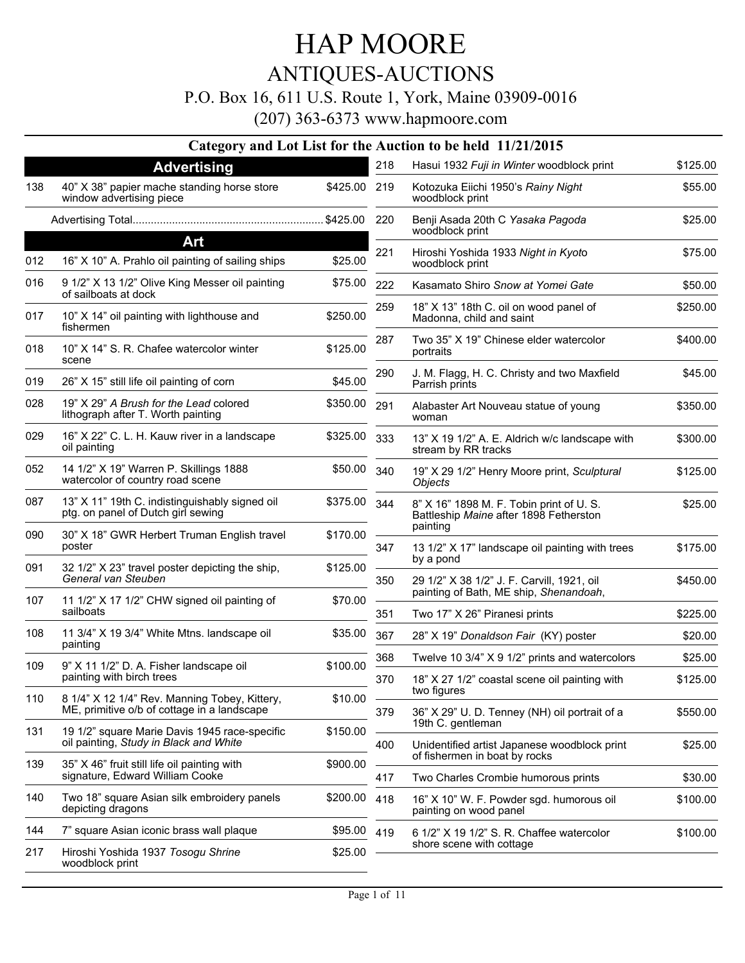### P.O. Box 16, 611 U.S. Route 1, York, Maine 03909-0016

|     |                                                                                              |              |     | Category and Lot List for the Auction to be held 11/21/2015                        |          |
|-----|----------------------------------------------------------------------------------------------|--------------|-----|------------------------------------------------------------------------------------|----------|
|     | <b>Advertising</b>                                                                           |              | 218 | Hasui 1932 Fuji in Winter woodblock print                                          | \$125.00 |
| 138 | 40" X 38" papier mache standing horse store<br>window advertising piece                      | \$425.00 219 |     | Kotozuka Eiichi 1950's Rainy Night<br>woodblock print                              | \$55.00  |
|     |                                                                                              |              |     | Benji Asada 20th C Yasaka Pagoda<br>woodblock print                                | \$25.00  |
|     | Art                                                                                          |              | 221 | Hiroshi Yoshida 1933 Night in Kyoto                                                | \$75.00  |
| 012 | 16" X 10" A. Prahlo oil painting of sailing ships                                            | \$25.00      |     | woodblock print                                                                    |          |
| 016 | 9 1/2" X 13 1/2" Olive King Messer oil painting<br>of sailboats at dock                      | \$75.00      | 222 | Kasamato Shiro Snow at Yomei Gate                                                  | \$50.00  |
| 017 | 10" X 14" oil painting with lighthouse and<br>fishermen                                      | \$250.00     | 259 | 18" X 13" 18th C. oil on wood panel of<br>Madonna, child and saint                 | \$250.00 |
| 018 | 10" X 14" S. R. Chafee watercolor winter<br>scene                                            | \$125.00     | 287 | Two 35" X 19" Chinese elder watercolor<br>portraits                                | \$400.00 |
| 019 | 26" X 15" still life oil painting of corn                                                    | \$45.00      | 290 | J. M. Flagg, H. C. Christy and two Maxfield<br>Parrish prints                      | \$45.00  |
| 028 | 19" X 29" A Brush for the Lead colored<br>lithograph after T. Worth painting                 | \$350.00     | 291 | Alabaster Art Nouveau statue of young<br>woman                                     | \$350.00 |
| 029 | 16" X 22" C. L. H. Kauw river in a landscape<br>oil painting                                 | \$325.00     | 333 | 13" X 19 1/2" A. E. Aldrich w/c landscape with<br>stream by RR tracks              | \$300.00 |
| 052 | 14 1/2" X 19" Warren P. Skillings 1888<br>watercolor of country road scene                   | \$50.00      | 340 | 19" X 29 1/2" Henry Moore print, Sculptural<br><b>Objects</b>                      | \$125.00 |
| 087 | 13" X 11" 19th C. indistinguishably signed oil<br>ptg. on panel of Dutch girl sewing         | \$375.00     | 344 | 8" X 16" 1898 M. F. Tobin print of U. S.<br>Battleship Maine after 1898 Fetherston | \$25.00  |
| 090 | 30" X 18" GWR Herbert Truman English travel<br>poster                                        | \$170.00     | 347 | painting<br>13 1/2" X 17" landscape oil painting with trees                        | \$175.00 |
| 091 | 32 1/2" X 23" travel poster depicting the ship,<br>General van Steuben                       | \$125.00     | 350 | by a pond<br>29 1/2" X 38 1/2" J. F. Carvill, 1921, oil                            | \$450.00 |
| 107 | 11 1/2" X 17 1/2" CHW signed oil painting of                                                 | \$70.00      |     | painting of Bath, ME ship, Shenandoah,                                             |          |
|     | sailboats                                                                                    |              | 351 | Two 17" X 26" Piranesi prints                                                      | \$225.00 |
| 108 | 11 3/4" X 19 3/4" White Mtns. landscape oil<br>painting                                      | \$35.00      | 367 | 28" X 19" Donaldson Fair (KY) poster                                               | \$20.00  |
|     |                                                                                              |              | 368 | Twelve 10 3/4" X 9 1/2" prints and watercolors                                     | \$25.00  |
| 109 | 9" X 11 1/2" D. A. Fisher landscape oil<br>painting with birch trees                         | \$100.00     | 370 | 18" X 27 1/2" coastal scene oil painting with<br>two figures                       | \$125.00 |
| 110 | 8 1/4" X 12 1/4" Rev. Manning Tobey, Kittery,<br>ME, primitive o/b of cottage in a landscape | \$10.00      | 379 | 36" X 29" U. D. Tenney (NH) oil portrait of a                                      | \$550.00 |
| 131 | 19 1/2" square Marie Davis 1945 race-specific<br>oil painting, Study in Black and White      | \$150.00     | 400 | 19th C. gentleman<br>Unidentified artist Japanese woodblock print                  | \$25.00  |
| 139 | 35" X 46" fruit still life oil painting with<br>signature, Edward William Cooke              | \$900.00     | 417 | of fishermen in boat by rocks<br>Two Charles Crombie humorous prints               | \$30.00  |
| 140 | Two 18" square Asian silk embroidery panels<br>depicting dragons                             | \$200.00     | 418 | 16" X 10" W. F. Powder sgd. humorous oil<br>painting on wood panel                 | \$100.00 |
| 144 | 7" square Asian iconic brass wall plaque                                                     | \$95.00      | 419 | 6 1/2" X 19 1/2" S. R. Chaffee watercolor                                          | \$100.00 |
| 217 | Hiroshi Yoshida 1937 Tosogu Shrine<br>woodblock print                                        | \$25.00      |     | shore scene with cottage                                                           |          |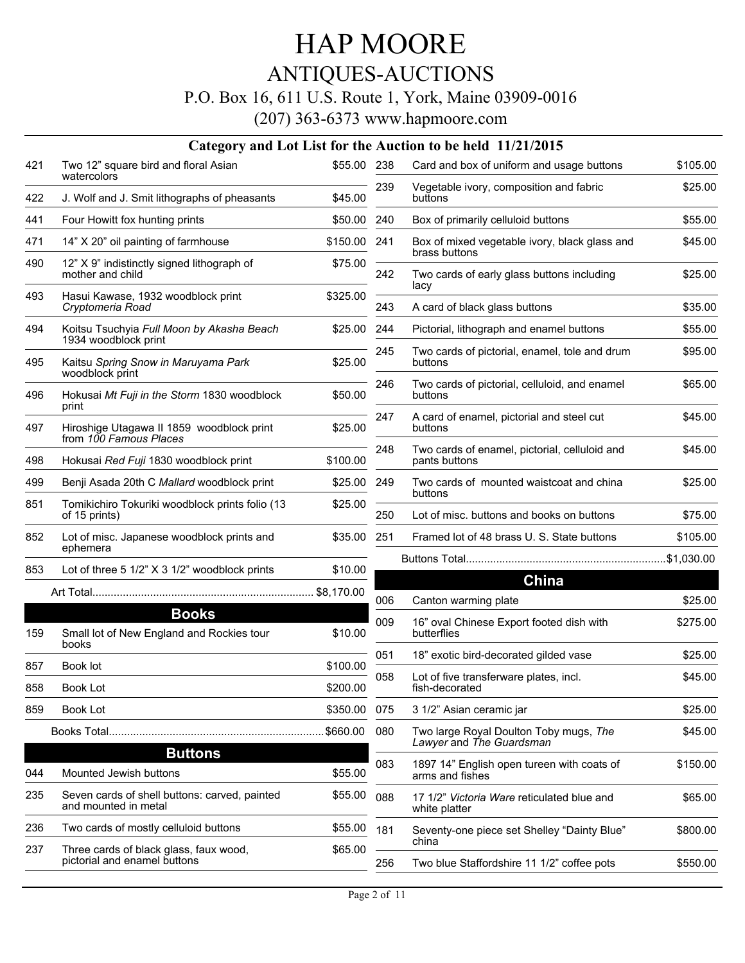### ANTIQUES-AUCTIONS

### P.O. Box 16, 611 U.S. Route 1, York, Maine 03909-0016

|     |                                                                       |              |     | Category and Lot List for the Auction to be held 11/21/2015        |          |
|-----|-----------------------------------------------------------------------|--------------|-----|--------------------------------------------------------------------|----------|
| 421 | Two 12" square bird and floral Asian                                  | \$55.00 238  |     | Card and box of uniform and usage buttons                          | \$105.00 |
| 422 | watercolors<br>J. Wolf and J. Smit lithographs of pheasants           | \$45.00      | 239 | Vegetable ivory, composition and fabric<br>buttons                 | \$25.00  |
| 441 | Four Howitt fox hunting prints                                        | \$50.00 240  |     | Box of primarily celluloid buttons                                 | \$55.00  |
| 471 | 14" X 20" oil painting of farmhouse                                   | \$150.00 241 |     | Box of mixed vegetable ivory, black glass and                      | \$45.00  |
| 490 | 12" X 9" indistinctly signed lithograph of<br>mother and child        | \$75.00      | 242 | brass buttons<br>Two cards of early glass buttons including        | \$25.00  |
| 493 | Hasui Kawase, 1932 woodblock print<br>Cryptomeria Road                | \$325.00     | 243 | lacy<br>A card of black glass buttons                              | \$35.00  |
| 494 | Koitsu Tsuchyia Full Moon by Akasha Beach<br>1934 woodblock print     | \$25.00      | 244 | Pictorial, lithograph and enamel buttons                           | \$55.00  |
| 495 | Kaitsu Spring Snow in Maruyama Park                                   | \$25.00      | 245 | Two cards of pictorial, enamel, tole and drum<br>buttons           | \$95.00  |
| 496 | woodblock print<br>Hokusai Mt Fuji in the Storm 1830 woodblock        | \$50.00      | 246 | Two cards of pictorial, celluloid, and enamel<br>buttons           | \$65.00  |
| 497 | print<br>Hiroshige Utagawa II 1859 woodblock print                    | \$25.00      | 247 | A card of enamel, pictorial and steel cut<br>buttons               | \$45.00  |
| 498 | from 100 Famous Places<br>Hokusai Red Fuji 1830 woodblock print       | \$100.00     | 248 | Two cards of enamel, pictorial, celluloid and<br>pants buttons     | \$45.00  |
| 499 | Benji Asada 20th C Mallard woodblock print                            | \$25.00      | 249 | Two cards of mounted waistcoat and china                           | \$25.00  |
| 851 | Tomikichiro Tokuriki woodblock prints folio (13<br>of 15 prints)      | \$25.00      | 250 | buttons<br>Lot of misc, buttons and books on buttons               | \$75.00  |
| 852 | Lot of misc. Japanese woodblock prints and<br>ephemera                | \$35.00      | 251 | Framed lot of 48 brass U. S. State buttons                         | \$105.00 |
|     |                                                                       |              |     |                                                                    |          |
| 853 | Lot of three 5 1/2" X 3 1/2" woodblock prints                         | \$10.00      |     | China                                                              |          |
|     |                                                                       |              | 006 | Canton warming plate                                               | \$25.00  |
| 159 | <b>Books</b><br>Small lot of New England and Rockies tour             | \$10.00      | 009 | 16" oval Chinese Export footed dish with<br>butterflies            | \$275.00 |
|     | books                                                                 |              | 051 | 18" exotic bird-decorated gilded vase                              | \$25.00  |
| 857 | Book lot                                                              | \$100.00     | 058 | Lot of five transferware plates, incl.                             | \$45.00  |
| 858 | Book Lot                                                              | \$200.00     |     | fish-decorated                                                     |          |
| 859 | Book Lot                                                              | \$350.00     | 075 | 3 1/2" Asian ceramic jar                                           | \$25.00  |
|     |                                                                       | \$660.00     | 080 | Two large Royal Doulton Toby mugs, The<br>Lawyer and The Guardsman | \$45.00  |
| 044 | <b>Buttons</b><br>Mounted Jewish buttons                              | \$55.00      | 083 | 1897 14" English open tureen with coats of<br>arms and fishes      | \$150.00 |
| 235 | Seven cards of shell buttons: carved, painted<br>and mounted in metal | \$55.00      | 088 | 17 1/2" Victoria Ware reticulated blue and<br>white platter        | \$65.00  |
| 236 | Two cards of mostly celluloid buttons                                 | \$55.00      | 181 | Seventy-one piece set Shelley "Dainty Blue"                        | \$800.00 |
| 237 | Three cards of black glass, faux wood,                                | \$65.00      |     | china                                                              |          |
|     | pictorial and enamel buttons                                          |              | 256 | Two blue Staffordshire 11 1/2" coffee pots                         | \$550.00 |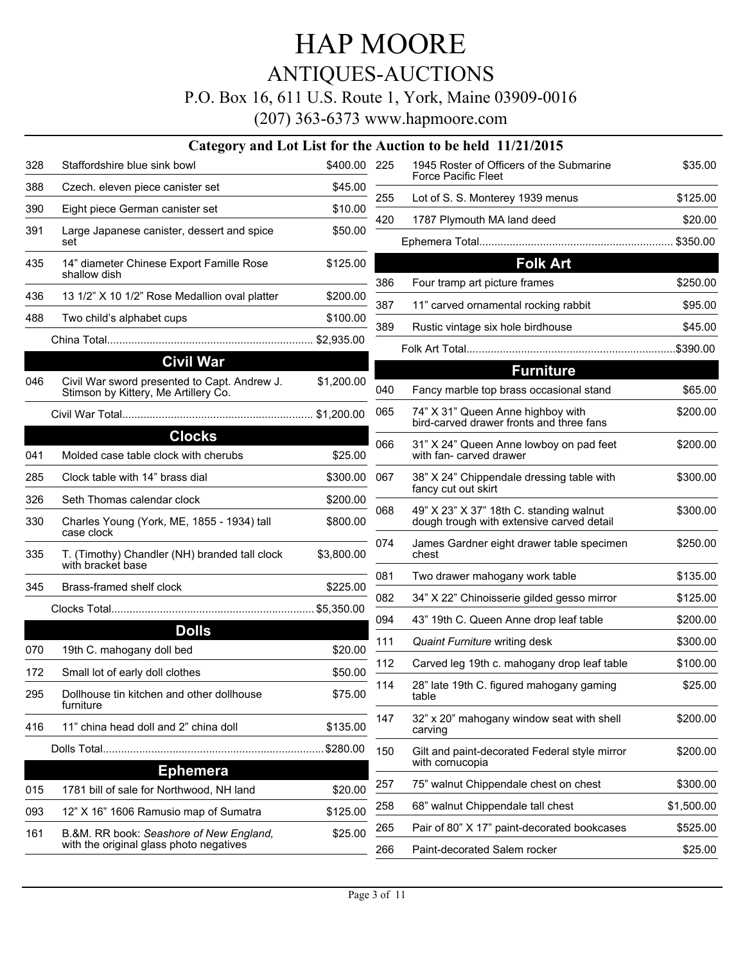ANTIQUES-AUCTIONS

P.O. Box 16, 611 U.S. Route 1, York, Maine 03909-0016

|     |                                                                                    |              |     | Category and Lot List for the Auction to be held 11/21/2015                   |            |
|-----|------------------------------------------------------------------------------------|--------------|-----|-------------------------------------------------------------------------------|------------|
| 328 | Staffordshire blue sink bowl                                                       | \$400.00 225 |     | 1945 Roster of Officers of the Submarine<br>Force Pacific Fleet               | \$35.00    |
| 388 | Czech. eleven piece canister set                                                   | \$45.00      | 255 | Lot of S. S. Monterey 1939 menus                                              | \$125.00   |
| 390 | Eight piece German canister set                                                    | \$10.00      |     |                                                                               |            |
| 391 | Large Japanese canister, dessert and spice<br>set                                  | \$50.00      | 420 | 1787 Plymouth MA land deed                                                    | \$20.00    |
|     |                                                                                    |              |     |                                                                               |            |
| 435 | 14" diameter Chinese Export Famille Rose<br>shallow dish                           | \$125.00     | 386 | <b>Folk Art</b><br>Four tramp art picture frames                              | \$250.00   |
| 436 | 13 1/2" X 10 1/2" Rose Medallion oval platter                                      | \$200.00     | 387 | 11" carved ornamental rocking rabbit                                          | \$95.00    |
| 488 | Two child's alphabet cups                                                          | \$100.00     |     |                                                                               |            |
|     |                                                                                    |              | 389 | Rustic vintage six hole birdhouse                                             | \$45.00    |
|     | <b>Civil War</b>                                                                   |              |     |                                                                               |            |
| 046 | Civil War sword presented to Capt. Andrew J.                                       | \$1,200.00   |     | <b>Furniture</b>                                                              |            |
|     | Stimson by Kittery, Me Artillery Co.                                               |              | 040 | Fancy marble top brass occasional stand                                       | \$65.00    |
|     |                                                                                    |              | 065 | 74" X 31" Queen Anne highboy with<br>bird-carved drawer fronts and three fans | \$200.00   |
|     | <b>Clocks</b>                                                                      |              | 066 | 31" X 24" Queen Anne lowboy on pad feet                                       | \$200.00   |
| 041 | Molded case table clock with cherubs                                               | \$25.00      |     | with fan- carved drawer                                                       |            |
| 285 | Clock table with 14" brass dial                                                    | \$300.00     | 067 | 38" X 24" Chippendale dressing table with<br>fancy cut out skirt              | \$300.00   |
| 326 | Seth Thomas calendar clock                                                         | \$200.00     | 068 | 49" X 23" X 37" 18th C. standing walnut                                       | \$300.00   |
| 330 | Charles Young (York, ME, 1855 - 1934) tall<br>case clock                           | \$800.00     |     | dough trough with extensive carved detail                                     |            |
| 335 | T. (Timothy) Chandler (NH) branded tall clock<br>with bracket base                 | \$3,800.00   | 074 | James Gardner eight drawer table specimen<br>chest                            | \$250.00   |
| 345 | Brass-framed shelf clock                                                           | \$225.00     | 081 | Two drawer mahogany work table                                                | \$135.00   |
|     |                                                                                    |              | 082 | 34" X 22" Chinoisserie gilded gesso mirror                                    | \$125.00   |
|     | <b>Dolls</b>                                                                       |              | 094 | 43" 19th C. Queen Anne drop leaf table                                        | \$200.00   |
| 070 | 19th C. mahogany doll bed                                                          | \$20.00      | 111 | <b>Quaint Furniture writing desk</b>                                          | \$300.00   |
| 172 |                                                                                    | \$50.00      | 112 | Carved leg 19th c. mahogany drop leaf table                                   | \$100.00   |
| 295 | Small lot of early doll clothes<br>Dollhouse tin kitchen and other dollhouse       | \$75.00      |     | 114 28" late 19th C. figured mahogany gaming<br>table                         | \$25.00    |
| 416 | furniture<br>11" china head doll and 2" china doll                                 | \$135.00     | 147 | 32" x 20" mahogany window seat with shell<br>carving                          | \$200.00   |
|     |                                                                                    | \$280.00     | 150 | Gilt and paint-decorated Federal style mirror<br>with cornucopia              | \$200.00   |
|     | <b>Ephemera</b>                                                                    |              |     |                                                                               | \$300.00   |
| 015 | 1781 bill of sale for Northwood, NH land                                           | \$20.00      | 257 | 75" walnut Chippendale chest on chest                                         |            |
| 093 | 12" X 16" 1606 Ramusio map of Sumatra                                              | \$125.00     | 258 | 68" walnut Chippendale tall chest                                             | \$1,500.00 |
| 161 | B.&M. RR book: Seashore of New England,<br>with the original glass photo negatives | \$25.00      | 265 | Pair of 80" X 17" paint-decorated bookcases                                   | \$525.00   |
|     |                                                                                    |              | 266 | Paint-decorated Salem rocker                                                  | \$25.00    |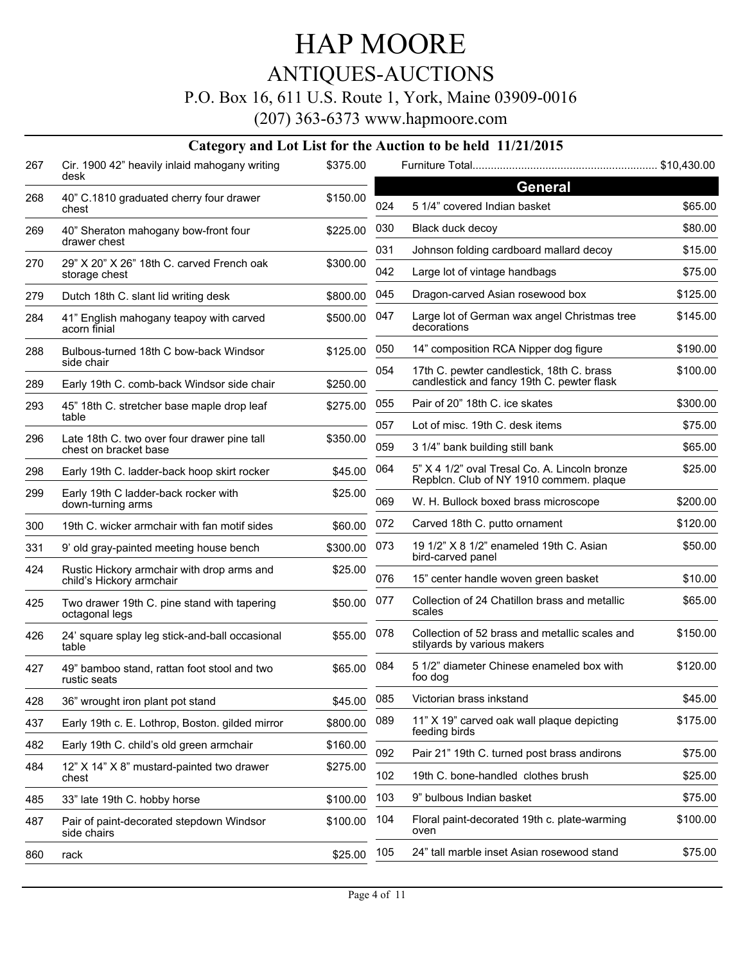### ANTIQUES-AUCTIONS

#### P.O. Box 16, 611 U.S. Route 1, York, Maine 03909-0016

(207) 363-6373 www.hapmoore.com

#### **Category and Lot List for the Auction to be held 11/21/2015** Cir. 1900 42" heavily inlaid mahogany writing 267 \$375.00 desk 268 40" C.1810 graduated cherry four drawer  $$150.00$ chest 40" Sheraton mahogany bow-front four 269 \$225.00 drawer chest 29" X 20" X 26" 18th C. carved French oak 270 \$300.00 storage chest 279 Dutch 18th C. slant lid writing desk \$800.00 41" English mahogany teapoy with carved 284 \$500.00 acorn finial 288 Bulbous-turned 18th C bow-back Windsor **\$125.00** side chair 289 Early 19th C. comb-back Windsor side chair \$250.00 45" 18th C. stretcher base maple drop leaf 293 \$275.00 table 296 Late 18th C. two over four drawer pine tall \$350.00 chest on bracket base 298 Early 19th C. ladder-back hoop skirt rocker \$45.00 299 Early 19th C ladder-back rocker with  $$25.00$ down-turning arms 300 19th C. wicker armchair with fan motif sides \$60.00 331 9' old gray-painted meeting house bench \$300.00 Rustic Hickory armchair with drop arms and 424 \$25.00 child's Hickory armchair Two drawer 19th C. pine stand with tapering 425 \$50.00 octagonal legs 24' square splay leg stick-and-ball occasional 426 \$55.00 table 49" bamboo stand, rattan foot stool and two 427 \$65.00 rustic seats 428 36" wrought iron plant pot stand \$45.00 437 Early 19th c. E. Lothrop, Boston. gilded mirror \$800.00 482 Early 19th C. child's old green armchair \$160.00 12" X 14" X 8" mustard-painted two drawer 484 \$275.00 chest 485 33" late 19th C. hobby horse \$100.00 Pair of paint-decorated stepdown Windsor 487 \$100.00 side chairs 860 rack \$25.00 Furniture Total............................................................. \$10,430.00 **General** 024 5 1/4" covered Indian basket \$65.00 030 Black duck decoy \$80.00 031 Johnson folding cardboard mallard decoy \$15.00 042 Large lot of vintage handbags \$75.00 045 Dragon-carved Asian rosewood box \$125.00 047 Large lot of German wax angel Christmas tree \$145.00 decorations 050 14" composition RCA Nipper dog figure \$190.00 17th C. pewter candlestick, 18th C. brass 054 \$100.00 candlestick and fancy 19th C. pewter flask 055 Pair of 20" 18th C. ice skates \$300.00 057 Lot of misc. 19th C. desk items \$75.00 059 3 1/4" bank building still bank  $$65.00$ 5" X 4 1/2" oval Tresal Co. A. Lincoln bronze 064 \$25.00 Repblcn. Club of NY 1910 commem. plaque 069 W. H. Bullock boxed brass microscope \$200.00 072 Carved 18th C. putto ornament \$120.00 073 19 1/2" X 8 1/2" enameled 19th C. Asian 650.00 bird-carved panel 076 15" center handle woven green basket \$10.00 077 Collection of 24 Chatillon brass and metallic  $$65.00$ scales 078 Collection of 52 brass and metallic scales and  $$150.00$ stilyards by various makers 5 1/2" diameter Chinese enameled box with 084 \$120.00 foo dog 085 Victorian brass inkstand \$45.00 089 11" X 19" carved oak wall plaque depicting 64775.00 feeding birds 092 Pair 21" 19th C. turned post brass andirons \$75.00 102 19th C. bone-handled clothes brush \$25.00 103 9" bulbous Indian basket \$75.00 Floral paint-decorated 19th c. plate-warming 104 \$100.00 oven 105 24" tall marble inset Asian rosewood stand \$75.00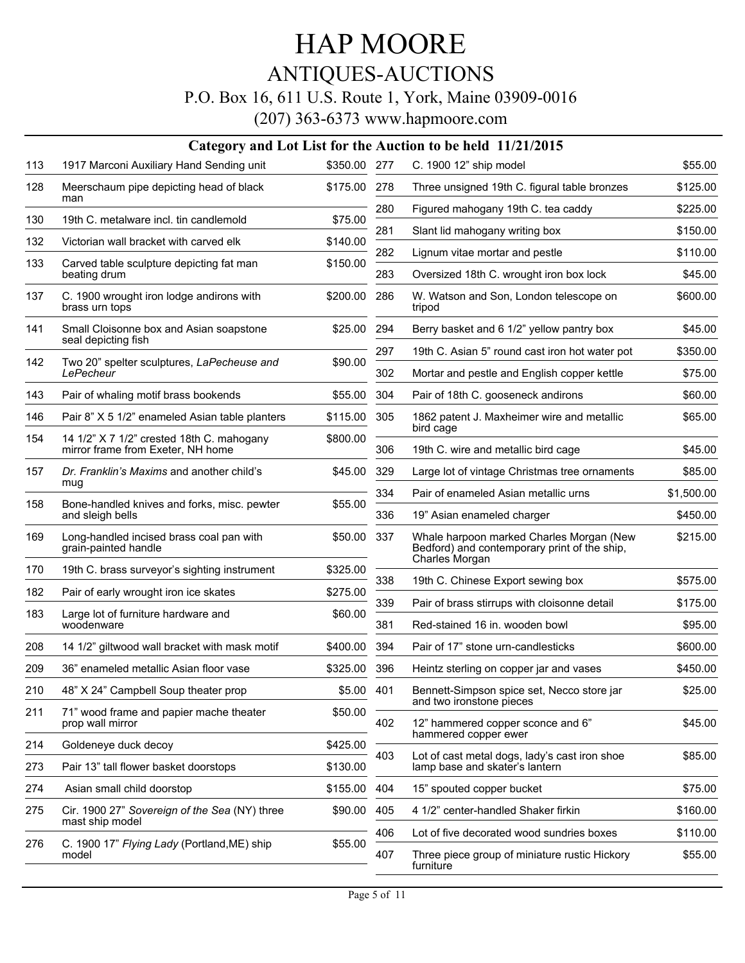### ANTIQUES-AUCTIONS

### P.O. Box 16, 611 U.S. Route 1, York, Maine 03909-0016

|     | Category and Lot List for the Auction to be held 11/21/2015                    |          |            |                                                                                                            |                     |  |  |  |
|-----|--------------------------------------------------------------------------------|----------|------------|------------------------------------------------------------------------------------------------------------|---------------------|--|--|--|
| 113 | 1917 Marconi Auxiliary Hand Sending unit                                       | \$350.00 | 277        | C. 1900 12" ship model                                                                                     | \$55.00             |  |  |  |
| 128 | Meerschaum pipe depicting head of black<br>man                                 | \$175.00 | 278        | Three unsigned 19th C. figural table bronzes                                                               | \$125.00            |  |  |  |
| 130 | 19th C. metalware incl. tin candlemold                                         | \$75.00  | 280        | Figured mahogany 19th C. tea caddy                                                                         | \$225.00            |  |  |  |
| 132 | Victorian wall bracket with carved elk                                         | \$140.00 | 281        | Slant lid mahogany writing box                                                                             | \$150.00            |  |  |  |
| 133 | Carved table sculpture depicting fat man                                       | \$150.00 | 282        | Lignum vitae mortar and pestle                                                                             | \$110.00            |  |  |  |
|     | beating drum                                                                   |          | 283        | Oversized 18th C. wrought iron box lock                                                                    | \$45.00             |  |  |  |
| 137 | C. 1900 wrought iron lodge andirons with<br>brass urn tops                     | \$200.00 | 286        | W. Watson and Son, London telescope on<br>tripod                                                           | \$600.00            |  |  |  |
| 141 | Small Cloisonne box and Asian soapstone                                        | \$25.00  | 294        | Berry basket and 6 1/2" yellow pantry box                                                                  | \$45.00             |  |  |  |
|     | seal depicting fish                                                            |          | 297        | 19th C. Asian 5" round cast iron hot water pot                                                             | \$350.00            |  |  |  |
| 142 | Two 20" spelter sculptures, LaPecheuse and<br>LePecheur                        | \$90.00  | 302        | Mortar and pestle and English copper kettle                                                                | \$75.00             |  |  |  |
| 143 | Pair of whaling motif brass bookends                                           | \$55.00  | 304        | Pair of 18th C. gooseneck andirons                                                                         | \$60.00             |  |  |  |
| 146 | Pair 8" X 5 1/2" enameled Asian table planters                                 | \$115.00 | 305        | 1862 patent J. Maxheimer wire and metallic<br>bird cage                                                    | \$65.00             |  |  |  |
| 154 | 14 1/2" X 7 1/2" crested 18th C. mahogany<br>mirror frame from Exeter, NH home | \$800.00 | 306        | 19th C. wire and metallic bird cage                                                                        | \$45.00             |  |  |  |
| 157 | Dr. Franklin's Maxims and another child's<br>mug                               | \$45.00  | 329        | Large lot of vintage Christmas tree ornaments                                                              | \$85.00             |  |  |  |
| 158 | Bone-handled knives and forks, misc. pewter                                    | \$55.00  | 334        | Pair of enameled Asian metallic urns                                                                       | \$1,500.00          |  |  |  |
|     | and sleigh bells                                                               |          | 336        | 19" Asian enameled charger                                                                                 | \$450.00            |  |  |  |
| 169 | Long-handled incised brass coal pan with<br>grain-painted handle               | \$50.00  | 337        | Whale harpoon marked Charles Morgan (New<br>Bedford) and contemporary print of the ship,<br>Charles Morgan | \$215.00            |  |  |  |
| 170 | 19th C. brass surveyor's sighting instrument                                   | \$325.00 | 338        |                                                                                                            | \$575.00            |  |  |  |
| 182 | Pair of early wrought iron ice skates                                          | \$275.00 |            | 19th C. Chinese Export sewing box                                                                          |                     |  |  |  |
| 183 | Large lot of furniture hardware and<br>woodenware                              | \$60.00  | 339<br>381 | Pair of brass stirrups with cloisonne detail<br>Red-stained 16 in, wooden bowl                             | \$175.00<br>\$95.00 |  |  |  |
| 208 | 14 1/2" giltwood wall bracket with mask motif                                  | \$400.00 | 394        | Pair of 17" stone urn-candlesticks                                                                         | \$600.00            |  |  |  |
| 209 | 36" enameled metallic Asian floor vase                                         | \$325.00 | 396        | Heintz sterling on copper jar and vases                                                                    | \$450.00            |  |  |  |
| 210 | 48" X 24" Campbell Soup theater prop                                           | \$5.00   | 401        | Bennett-Simpson spice set, Necco store jar                                                                 | \$25.00             |  |  |  |
| 211 | 71" wood frame and papier mache theater<br>prop wall mirror                    | \$50.00  | 402        | and two ironstone pieces<br>12" hammered copper sconce and 6"                                              | \$45.00             |  |  |  |
| 214 | Goldeneye duck decoy                                                           | \$425.00 |            | hammered copper ewer                                                                                       |                     |  |  |  |
| 273 | Pair 13" tall flower basket doorstops                                          | \$130.00 | 403        | Lot of cast metal dogs, lady's cast iron shoe<br>lamp base and skater's lantern                            | \$85.00             |  |  |  |
| 274 | Asian small child doorstop                                                     | \$155.00 | 404        | 15" spouted copper bucket                                                                                  | \$75.00             |  |  |  |
| 275 | Cir. 1900 27" Sovereign of the Sea (NY) three<br>mast ship model               | \$90.00  | 405        | 4 1/2" center-handled Shaker firkin                                                                        | \$160.00            |  |  |  |
| 276 | C. 1900 17" Flying Lady (Portland, ME) ship                                    | \$55.00  | 406        | Lot of five decorated wood sundries boxes                                                                  | \$110.00            |  |  |  |
|     | model                                                                          |          | 407        | Three piece group of miniature rustic Hickory<br>furniture                                                 | \$55.00             |  |  |  |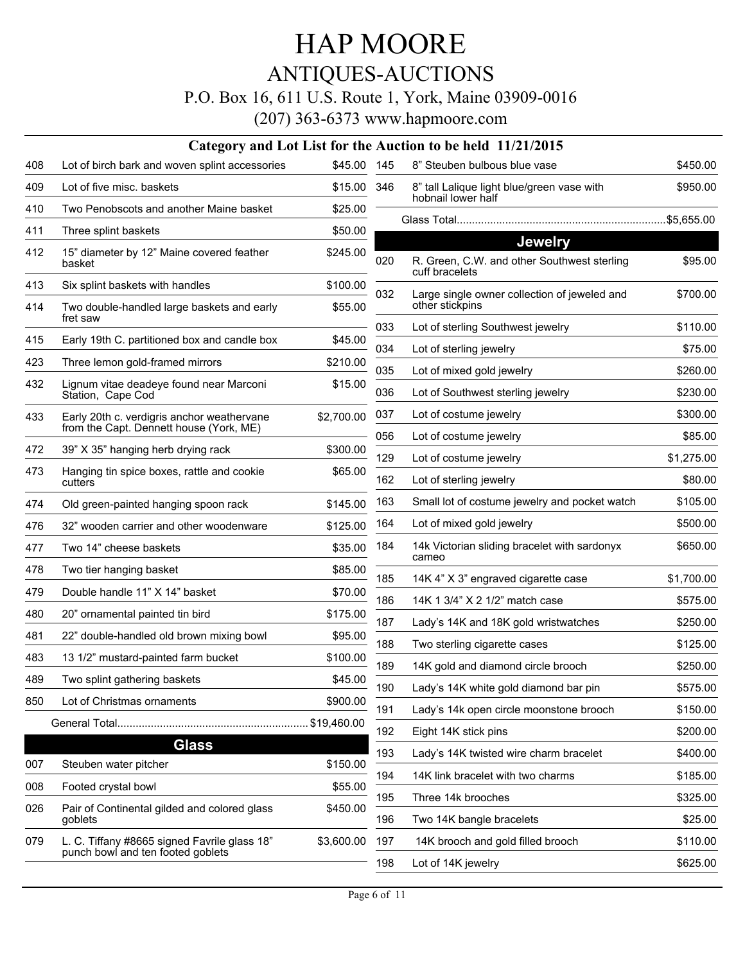#### P.O. Box 16, 611 U.S. Route 1, York, Maine 03909-0016

|     | Category and Lot List for the Auction to be held 11/21/2015                       |             |     |                                                                                 |                      |  |  |
|-----|-----------------------------------------------------------------------------------|-------------|-----|---------------------------------------------------------------------------------|----------------------|--|--|
| 408 | Lot of birch bark and woven splint accessories                                    | \$45.00     | 145 | 8" Steuben bulbous blue vase                                                    | \$450.00             |  |  |
| 409 | Lot of five misc. baskets                                                         | \$15.00     | 346 | 8" tall Lalique light blue/green vase with<br>hobnail lower half                | \$950.00             |  |  |
| 410 | Two Penobscots and another Maine basket                                           | \$25.00     |     |                                                                                 |                      |  |  |
| 411 | Three splint baskets                                                              | \$50.00     |     |                                                                                 |                      |  |  |
| 412 | 15" diameter by 12" Maine covered feather<br>basket                               | \$245.00    | 020 | <b>Jewelry</b><br>R. Green, C.W. and other Southwest sterling<br>cuff bracelets | \$95.00              |  |  |
| 413 | Six splint baskets with handles                                                   | \$100.00    | 032 | Large single owner collection of jeweled and                                    | \$700.00             |  |  |
| 414 | Two double-handled large baskets and early<br>fret saw                            | \$55.00     |     | other stickpins                                                                 |                      |  |  |
| 415 | Early 19th C. partitioned box and candle box                                      | \$45.00     | 033 | Lot of sterling Southwest jewelry                                               | \$110.00             |  |  |
| 423 | Three lemon gold-framed mirrors                                                   | \$210.00    | 034 | Lot of sterling jewelry                                                         | \$75.00              |  |  |
| 432 | Lignum vitae deadeye found near Marconi                                           | \$15.00     | 035 | Lot of mixed gold jewelry                                                       | \$260.00             |  |  |
|     | Station, Cape Cod                                                                 |             | 036 | Lot of Southwest sterling jewelry                                               | \$230.00             |  |  |
| 433 | Early 20th c. verdigris anchor weathervane                                        | \$2,700.00  | 037 | Lot of costume jewelry                                                          | \$300.00             |  |  |
|     | from the Capt. Dennett house (York, ME)                                           |             | 056 | Lot of costume jewelry                                                          | \$85.00              |  |  |
| 472 | 39" X 35" hanging herb drying rack                                                | \$300.00    | 129 | Lot of costume jewelry                                                          | \$1,275.00           |  |  |
| 473 | Hanging tin spice boxes, rattle and cookie<br>cutters                             | \$65.00     | 162 | Lot of sterling jewelry                                                         | \$80.00              |  |  |
| 474 | Old green-painted hanging spoon rack                                              | \$145.00    | 163 | Small lot of costume jewelry and pocket watch                                   | \$105.00             |  |  |
| 476 | 32" wooden carrier and other woodenware                                           | \$125.00    | 164 | Lot of mixed gold jewelry                                                       | \$500.00             |  |  |
| 477 | Two 14" cheese baskets                                                            | \$35.00     | 184 | 14k Victorian sliding bracelet with sardonyx<br>cameo                           | \$650.00             |  |  |
| 478 | Two tier hanging basket                                                           | \$85.00     | 185 | 14K 4" X 3" engraved cigarette case                                             | \$1,700.00           |  |  |
| 479 | Double handle 11" X 14" basket                                                    | \$70.00     | 186 | 14K 1 3/4" X 2 1/2" match case                                                  |                      |  |  |
| 480 | 20" ornamental painted tin bird                                                   | \$175.00    | 187 | Lady's 14K and 18K gold wristwatches                                            | \$575.00<br>\$250.00 |  |  |
| 481 | 22" double-handled old brown mixing bowl                                          | \$95.00     |     |                                                                                 |                      |  |  |
| 483 | 13 1/2" mustard-painted farm bucket                                               | \$100.00    | 188 | Two sterling cigarette cases                                                    | \$125.00             |  |  |
| 489 | Two splint gathering baskets                                                      | \$45.00     | 189 | 14K gold and diamond circle brooch                                              | \$250.00             |  |  |
| 850 | Lot of Christmas ornaments                                                        | \$900.00    | 190 | Lady's 14K white gold diamond bar pin                                           | \$575.00             |  |  |
|     |                                                                                   | \$19,460.00 | 191 | Lady's 14k open circle moonstone brooch                                         | \$150.00             |  |  |
|     | <b>Glass</b>                                                                      |             | 192 | Eight 14K stick pins                                                            | \$200.00             |  |  |
| 007 | Steuben water pitcher                                                             | \$150.00    | 193 | Lady's 14K twisted wire charm bracelet                                          | \$400.00             |  |  |
|     |                                                                                   | \$55.00     | 194 | 14K link bracelet with two charms                                               | \$185.00             |  |  |
| 008 | Footed crystal bowl                                                               |             | 195 | Three 14k brooches                                                              | \$325.00             |  |  |
| 026 | Pair of Continental gilded and colored glass<br>goblets                           | \$450.00    | 196 | Two 14K bangle bracelets                                                        | \$25.00              |  |  |
| 079 | L. C. Tiffany #8665 signed Favrile glass 18"<br>punch bowl and ten footed goblets | \$3,600.00  | 197 | 14K brooch and gold filled brooch                                               | \$110.00             |  |  |
|     |                                                                                   |             | 198 | Lot of 14K jewelry                                                              | \$625.00             |  |  |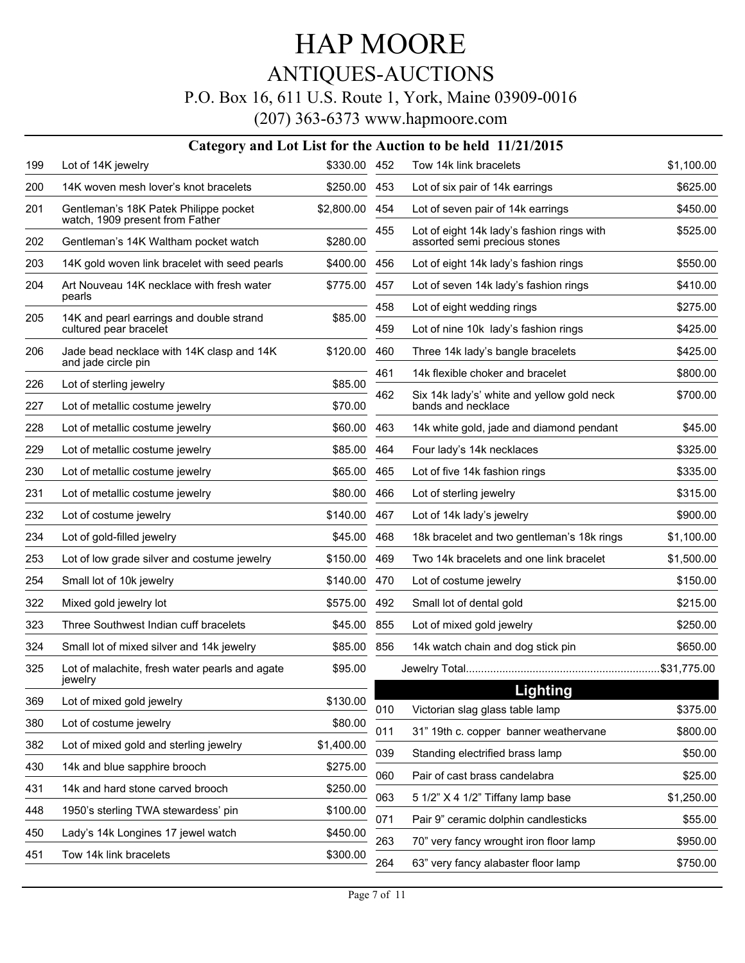# P.O. Box 16, 611 U.S. Route 1, York, Maine 03909-0016

|            | Category and Lot List for the Auction to be held 11/21/2015              |                    |     |                                                                             |            |  |  |  |
|------------|--------------------------------------------------------------------------|--------------------|-----|-----------------------------------------------------------------------------|------------|--|--|--|
| 199        | Lot of 14K jewelry                                                       | \$330.00           | 452 | Tow 14k link bracelets                                                      | \$1,100.00 |  |  |  |
| 200        | 14K woven mesh lover's knot bracelets                                    | \$250.00           | 453 | Lot of six pair of 14k earrings                                             | \$625.00   |  |  |  |
| 201        | Gentleman's 18K Patek Philippe pocket<br>watch, 1909 present from Father | \$2,800.00         | 454 | Lot of seven pair of 14k earrings                                           | \$450.00   |  |  |  |
| 202        | Gentleman's 14K Waltham pocket watch                                     | \$280.00           | 455 | Lot of eight 14k lady's fashion rings with<br>assorted semi precious stones | \$525.00   |  |  |  |
| 203        | 14K gold woven link bracelet with seed pearls                            | \$400.00           | 456 | Lot of eight 14k lady's fashion rings                                       | \$550.00   |  |  |  |
| 204        | Art Nouveau 14K necklace with fresh water                                | \$775.00           | 457 | Lot of seven 14k lady's fashion rings                                       | \$410.00   |  |  |  |
|            | pearls                                                                   |                    | 458 | Lot of eight wedding rings                                                  | \$275.00   |  |  |  |
| 205        | 14K and pearl earrings and double strand<br>cultured pear bracelet       | \$85.00            | 459 | Lot of nine 10k lady's fashion rings                                        | \$425.00   |  |  |  |
| 206        | Jade bead necklace with 14K clasp and 14K<br>and jade circle pin         | \$120.00           | 460 | Three 14k lady's bangle bracelets                                           | \$425.00   |  |  |  |
|            |                                                                          |                    | 461 | 14k flexible choker and bracelet                                            | \$800.00   |  |  |  |
| 226<br>227 | Lot of sterling jewelry<br>Lot of metallic costume jewelry               | \$85.00<br>\$70.00 | 462 | Six 14k lady's' white and yellow gold neck<br>bands and necklace            | \$700.00   |  |  |  |
| 228        | Lot of metallic costume jewelry                                          | \$60.00            | 463 | 14k white gold, jade and diamond pendant                                    | \$45.00    |  |  |  |
| 229        | Lot of metallic costume jewelry                                          | \$85.00            | 464 | Four lady's 14k necklaces                                                   | \$325.00   |  |  |  |
| 230        | Lot of metallic costume jewelry                                          | \$65.00            | 465 | Lot of five 14k fashion rings                                               | \$335.00   |  |  |  |
| 231        | Lot of metallic costume jewelry                                          | \$80.00            | 466 | Lot of sterling jewelry                                                     | \$315.00   |  |  |  |
| 232        | Lot of costume jewelry                                                   | \$140.00           | 467 | Lot of 14k lady's jewelry                                                   | \$900.00   |  |  |  |
| 234        | Lot of gold-filled jewelry                                               | \$45.00            | 468 | 18k bracelet and two gentleman's 18k rings                                  | \$1,100.00 |  |  |  |
| 253        | Lot of low grade silver and costume jewelry                              | \$150.00           | 469 | Two 14k bracelets and one link bracelet                                     | \$1,500.00 |  |  |  |
| 254        | Small lot of 10k jewelry                                                 | \$140.00           | 470 | Lot of costume jewelry                                                      | \$150.00   |  |  |  |
| 322        | Mixed gold jewelry lot                                                   | \$575.00           | 492 | Small lot of dental gold                                                    | \$215.00   |  |  |  |
| 323        | Three Southwest Indian cuff bracelets                                    | \$45.00            | 855 | Lot of mixed gold jewelry                                                   | \$250.00   |  |  |  |
| 324        | Small lot of mixed silver and 14k jewelry                                | \$85.00            | 856 | 14k watch chain and dog stick pin                                           | \$650.00   |  |  |  |
| 325        | Lot of malachite, fresh water pearls and agate<br>jewelry                | \$95.00            |     |                                                                             |            |  |  |  |
| 369        | Lot of mixed gold jewelry                                                | \$130.00           |     | <b>Lighting</b>                                                             |            |  |  |  |
| 380        | Lot of costume jewelry                                                   | \$80.00            | 010 | Victorian slag glass table lamp                                             | \$375.00   |  |  |  |
| 382        | Lot of mixed gold and sterling jewelry                                   | \$1,400.00         | 011 | 31" 19th c. copper banner weathervane                                       | \$800.00   |  |  |  |
| 430        | 14k and blue sapphire brooch                                             | \$275.00           | 039 | Standing electrified brass lamp                                             | \$50.00    |  |  |  |
| 431        | 14k and hard stone carved brooch                                         | \$250.00           | 060 | Pair of cast brass candelabra                                               | \$25.00    |  |  |  |
| 448        | 1950's sterling TWA stewardess' pin                                      | \$100.00           | 063 | 5 1/2" X 4 1/2" Tiffany lamp base                                           | \$1,250.00 |  |  |  |
| 450        | Lady's 14k Longines 17 jewel watch                                       | \$450.00           | 071 | Pair 9" ceramic dolphin candlesticks                                        | \$55.00    |  |  |  |
| 451        | Tow 14k link bracelets                                                   | \$300.00           | 263 | 70" very fancy wrought iron floor lamp                                      | \$950.00   |  |  |  |
|            |                                                                          |                    | 264 | 63" very fancy alabaster floor lamp                                         | \$750.00   |  |  |  |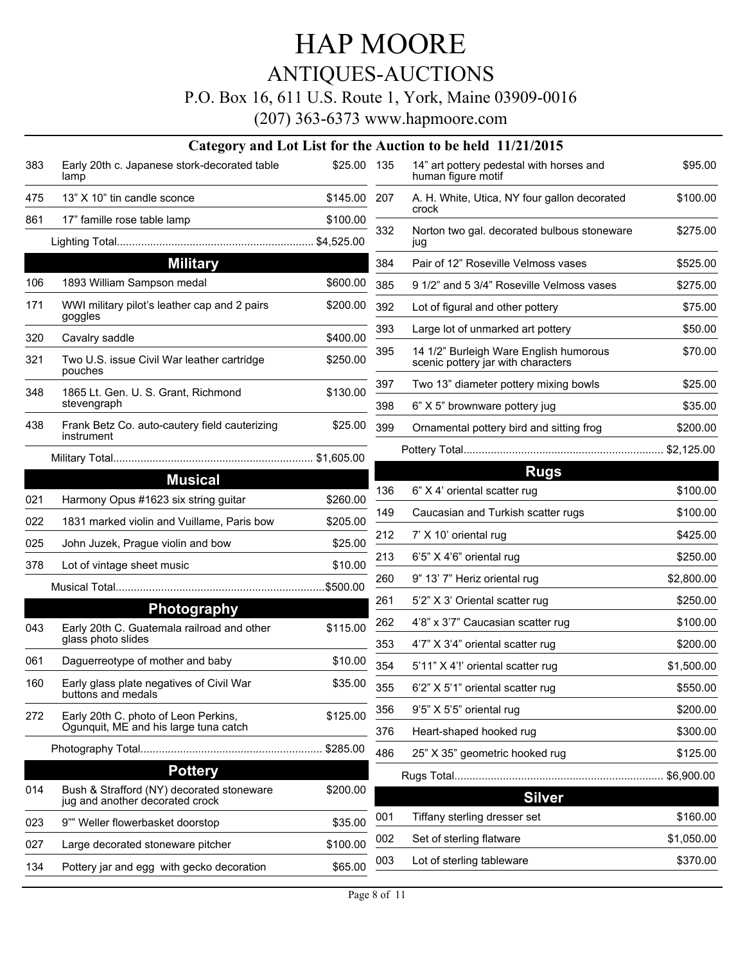# ANTIQUES-AUCTIONS

### P.O. Box 16, 611 U.S. Route 1, York, Maine 03909-0016

|     | Category and Lot List for the Auction to be held 11/21/2015                  |              |     |                                                                              |            |  |  |  |  |
|-----|------------------------------------------------------------------------------|--------------|-----|------------------------------------------------------------------------------|------------|--|--|--|--|
| 383 | Early 20th c. Japanese stork-decorated table<br>lamp                         | \$25.00 135  |     | 14" art pottery pedestal with horses and<br>human figure motif               | \$95.00    |  |  |  |  |
| 475 | 13" X 10" tin candle sconce                                                  | \$145.00 207 |     | A. H. White, Utica, NY four gallon decorated                                 | \$100.00   |  |  |  |  |
| 861 | 17" famille rose table lamp                                                  | \$100.00     |     | crock                                                                        |            |  |  |  |  |
|     |                                                                              |              | 332 | Norton two gal. decorated bulbous stoneware<br>jug                           | \$275.00   |  |  |  |  |
|     | <b>Military</b>                                                              |              | 384 | Pair of 12" Roseville Velmoss vases                                          | \$525.00   |  |  |  |  |
| 106 | 1893 William Sampson medal                                                   | \$600.00     | 385 | 9 1/2" and 5 3/4" Roseville Velmoss vases                                    | \$275.00   |  |  |  |  |
| 171 | WWI military pilot's leather cap and 2 pairs<br>goggles                      | \$200.00     | 392 | Lot of figural and other pottery                                             | \$75.00    |  |  |  |  |
| 320 | Cavalry saddle                                                               | \$400.00     | 393 | Large lot of unmarked art pottery                                            | \$50.00    |  |  |  |  |
| 321 | Two U.S. issue Civil War leather cartridge<br>pouches                        | \$250.00     | 395 | 14 1/2" Burleigh Ware English humorous<br>scenic pottery jar with characters | \$70.00    |  |  |  |  |
| 348 | 1865 Lt. Gen. U. S. Grant, Richmond                                          | \$130.00     | 397 | Two 13" diameter pottery mixing bowls                                        | \$25.00    |  |  |  |  |
|     | stevengraph                                                                  |              | 398 | 6" X 5" brownware pottery jug                                                | \$35.00    |  |  |  |  |
| 438 | Frank Betz Co. auto-cautery field cauterizing<br>instrument                  | \$25.00      | 399 | Ornamental pottery bird and sitting frog                                     | \$200.00   |  |  |  |  |
|     |                                                                              |              |     |                                                                              |            |  |  |  |  |
|     | <b>Musical</b>                                                               |              |     | <b>Rugs</b>                                                                  |            |  |  |  |  |
| 021 | Harmony Opus #1623 six string guitar                                         | \$260.00     | 136 | 6" X 4' oriental scatter rug                                                 | \$100.00   |  |  |  |  |
| 022 | 1831 marked violin and Vuillame, Paris bow                                   | \$205.00     | 149 | Caucasian and Turkish scatter rugs                                           | \$100.00   |  |  |  |  |
| 025 | John Juzek, Prague violin and bow                                            | \$25.00      | 212 | 7' X 10' oriental rug                                                        | \$425.00   |  |  |  |  |
| 378 | Lot of vintage sheet music                                                   | \$10.00      | 213 | 6'5" X 4'6" oriental rug                                                     | \$250.00   |  |  |  |  |
|     |                                                                              | \$500.00     | 260 | 9" 13' 7" Heriz oriental rug                                                 | \$2,800.00 |  |  |  |  |
|     |                                                                              |              | 261 | 5'2" X 3' Oriental scatter rug                                               | \$250.00   |  |  |  |  |
| 043 | <b>Photography</b><br>Early 20th C. Guatemala railroad and other             | \$115.00     | 262 | 4'8" x 3'7" Caucasian scatter rug                                            | \$100.00   |  |  |  |  |
|     | glass photo slides                                                           |              | 353 | 4'7" X 3'4" oriental scatter rug                                             | \$200.00   |  |  |  |  |
| 061 | Daguerreotype of mother and baby                                             | \$10.00      | 354 | 5'11" X 4'!' oriental scatter rug                                            | \$1,500.00 |  |  |  |  |
| 160 | Early glass plate negatives of Civil War<br>buttons and medals               | \$35.00      | 355 | 6'2" X 5'1" oriental scatter rug                                             | \$550.00   |  |  |  |  |
| 272 | Early 20th C. photo of Leon Perkins,                                         | \$125.00     | 356 | 9'5" X 5'5" oriental rug                                                     | \$200.00   |  |  |  |  |
|     | Ogunquit, ME and his large tuna catch                                        |              | 376 | Heart-shaped hooked rug                                                      | \$300.00   |  |  |  |  |
|     |                                                                              | \$285.00     | 486 | 25" X 35" geometric hooked rug                                               | \$125.00   |  |  |  |  |
|     | <b>Pottery</b>                                                               |              |     |                                                                              | \$6,900.00 |  |  |  |  |
| 014 | Bush & Strafford (NY) decorated stoneware<br>jug and another decorated crock | \$200.00     |     | <b>Silver</b>                                                                |            |  |  |  |  |
| 023 | 9"" Weller flowerbasket doorstop                                             | \$35.00      | 001 | Tiffany sterling dresser set                                                 | \$160.00   |  |  |  |  |
| 027 | Large decorated stoneware pitcher                                            | \$100.00     | 002 | Set of sterling flatware                                                     | \$1,050.00 |  |  |  |  |
| 134 | Pottery jar and egg with gecko decoration                                    | \$65.00      | 003 | Lot of sterling tableware                                                    | \$370.00   |  |  |  |  |
|     |                                                                              |              |     |                                                                              |            |  |  |  |  |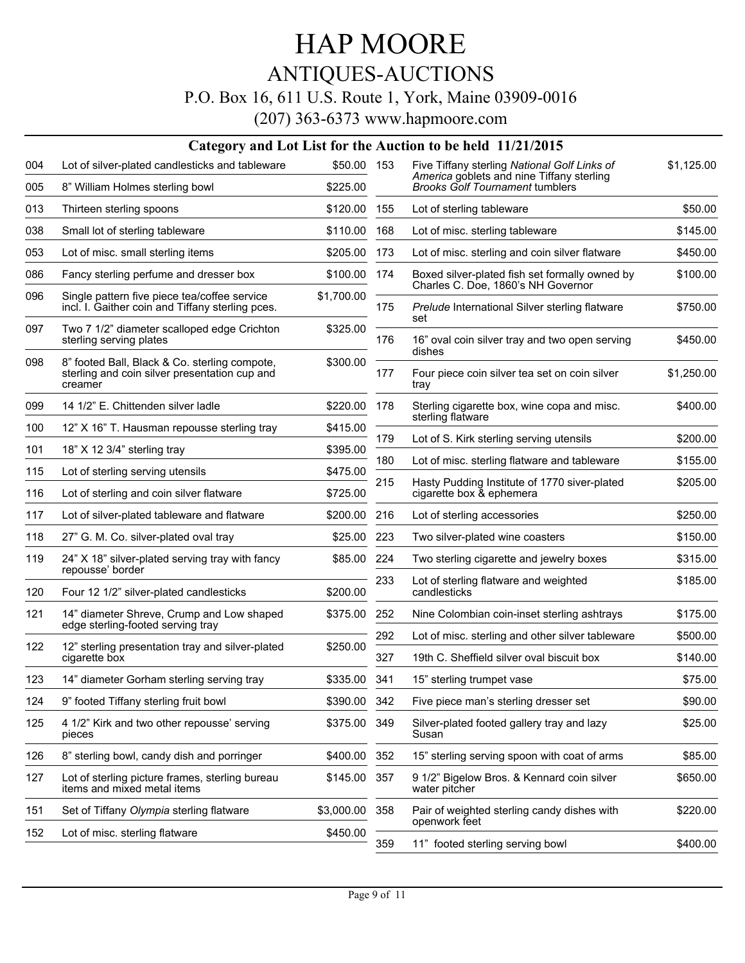### ANTIQUES-AUCTIONS

### P.O. Box 16, 611 U.S. Route 1, York, Maine 03909-0016

|     |                                                                                                  |             |     | Category and Lot List for the Auction to be held 11/21/2015                               |            |
|-----|--------------------------------------------------------------------------------------------------|-------------|-----|-------------------------------------------------------------------------------------------|------------|
| 004 | Lot of silver-plated candlesticks and tableware                                                  | \$50.00 153 |     | Five Tiffany sterling National Golf Links of<br>America goblets and nine Tiffany sterling | \$1,125.00 |
| 005 | 8" William Holmes sterling bowl                                                                  | \$225.00    |     | <b>Brooks Golf Tournament tumblers</b>                                                    |            |
| 013 | Thirteen sterling spoons                                                                         | \$120.00    | 155 | Lot of sterling tableware                                                                 | \$50.00    |
| 038 | Small lot of sterling tableware                                                                  | \$110.00    | 168 | Lot of misc. sterling tableware                                                           | \$145.00   |
| 053 | Lot of misc. small sterling items                                                                | \$205.00    | 173 | Lot of misc. sterling and coin silver flatware                                            | \$450.00   |
| 086 | Fancy sterling perfume and dresser box                                                           | \$100.00    | 174 | Boxed silver-plated fish set formally owned by                                            | \$100.00   |
| 096 | Single pattern five piece tea/coffee service<br>incl. I. Gaither coin and Tiffany sterling pces. | \$1,700.00  | 175 | Charles C. Doe, 1860's NH Governor<br>Prelude International Silver sterling flatware      | \$750.00   |
| 097 | Two 7 1/2" diameter scalloped edge Crichton<br>sterling serving plates                           | \$325.00    | 176 | set<br>16" oval coin silver tray and two open serving                                     | \$450.00   |
| 098 | 8" footed Ball, Black & Co. sterling compote,<br>sterling and coin silver presentation cup and   | \$300.00    | 177 | dishes<br>Four piece coin silver tea set on coin silver                                   | \$1,250.00 |
|     | creamer                                                                                          |             |     | tray                                                                                      |            |
| 099 | 14 1/2" E. Chittenden silver ladle                                                               | \$220.00    | 178 | Sterling cigarette box, wine copa and misc.<br>sterling flatware                          | \$400.00   |
| 100 | 12" X 16" T. Hausman repousse sterling tray                                                      | \$415.00    | 179 | Lot of S. Kirk sterling serving utensils                                                  | \$200.00   |
| 101 | 18" X 12 3/4" sterling tray                                                                      | \$395.00    | 180 | Lot of misc. sterling flatware and tableware                                              | \$155.00   |
| 115 | Lot of sterling serving utensils                                                                 | \$475.00    | 215 | Hasty Pudding Institute of 1770 siver-plated                                              | \$205.00   |
| 116 | Lot of sterling and coin silver flatware                                                         | \$725.00    |     | cigarette box & ephemera                                                                  |            |
| 117 | Lot of silver-plated tableware and flatware                                                      | \$200.00    | 216 | Lot of sterling accessories                                                               | \$250.00   |
| 118 | 27" G. M. Co. silver-plated oval tray                                                            | \$25.00     | 223 | Two silver-plated wine coasters                                                           | \$150.00   |
| 119 | 24" X 18" silver-plated serving tray with fancy<br>repousse' border                              | \$85.00     | 224 | Two sterling cigarette and jewelry boxes                                                  | \$315.00   |
| 120 | Four 12 1/2" silver-plated candlesticks                                                          | \$200.00    | 233 | Lot of sterling flatware and weighted<br>candlesticks                                     | \$185.00   |
| 121 | 14" diameter Shreve, Crump and Low shaped                                                        | \$375.00    | 252 | Nine Colombian coin-inset sterling ashtrays                                               | \$175.00   |
|     | edge sterling-footed serving tray                                                                |             | 292 | Lot of misc. sterling and other silver tableware                                          | \$500.00   |
| 122 | 12" sterling presentation tray and silver-plated<br>cigarette box                                | \$250.00    | 327 | 19th C. Sheffield silver oval biscuit box                                                 | \$140.00   |
| 123 | 14" diameter Gorham sterling serving tray                                                        | \$335.00    | 341 | 15" sterling trumpet vase                                                                 | \$75.00    |
| 124 | 9" footed Tiffany sterling fruit bowl                                                            | \$390.00    | 342 | Five piece man's sterling dresser set                                                     | \$90.00    |
| 125 | 4 1/2" Kirk and two other repousse' serving<br>pieces                                            | \$375.00    | 349 | Silver-plated footed gallery tray and lazy<br>Susan                                       | \$25.00    |
| 126 | 8" sterling bowl, candy dish and porringer                                                       | \$400.00    | 352 | 15" sterling serving spoon with coat of arms                                              | \$85.00    |
| 127 | Lot of sterling picture frames, sterling bureau<br>items and mixed metal items                   | \$145.00    | 357 | 9 1/2" Bigelow Bros. & Kennard coin silver<br>water pitcher                               | \$650.00   |
| 151 | Set of Tiffany Olympia sterling flatware                                                         | \$3,000.00  | 358 | Pair of weighted sterling candy dishes with                                               | \$220.00   |
| 152 | Lot of misc. sterling flatware                                                                   | \$450.00    | 359 | openwork feet<br>11" footed sterling serving bowl                                         | \$400.00   |